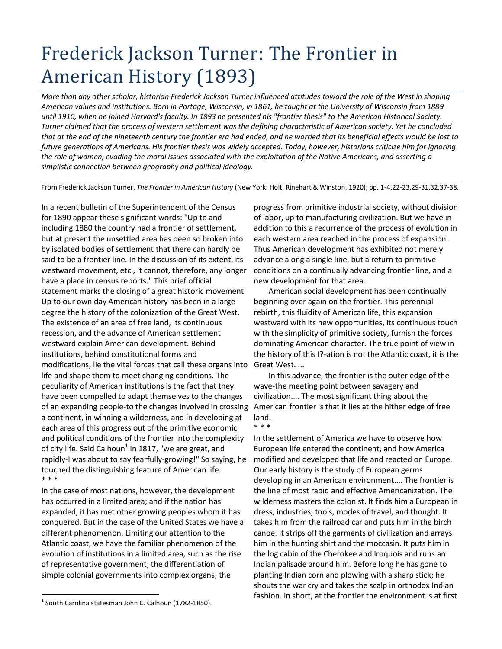## Frederick Jackson Turner: The Frontier in American History (1893)

*More than any other scholar, historian Frederick Jackson Turner influenced attitudes toward the role of the West in shaping American values and institutions. Born in Portage, Wisconsin, in 1861, he taught at the University of Wisconsin from 1889 until 1910, when he joined Harvard's faculty. In 1893 he presented his "frontier thesis" to the American Historical Society. Turner claimed that the process of western settlement was the defining characteristic of American society. Yet he concluded that at the end of the nineteenth century the frontier era had ended, and he worried that its beneficial effects would be lost to future generations of Americans. His frontier thesis was widely accepted. Today, however, historians criticize him for ignoring the role of women, evading the moral issues associated with the exploitation of the Native Americans, and asserting a simplistic connection between geography and political ideology.*

From Frederick Jackson Turner, *The Frontier in American History* (New York: Holt, Rinehart & Winston, 1920), pp. 1-4,22-23,29-31,32,37-38.

In a recent bulletin of the Superintendent of the Census for 1890 appear these significant words: "Up to and including 1880 the country had a frontier of settlement, but at present the unsettled area has been so broken into by isolated bodies of settlement that there can hardly be said to be a frontier line. In the discussion of its extent, its westward movement, etc., it cannot, therefore, any longer have a place in census reports." This brief official statement marks the closing of a great historic movement. Up to our own day American history has been in a large degree the history of the colonization of the Great West. The existence of an area of free land, its continuous recession, and the advance of American settlement westward explain American development. Behind institutions, behind constitutional forms and modifications, lie the vital forces that call these organs into life and shape them to meet changing conditions. The peculiarity of American institutions is the fact that they have been compelled to adapt themselves to the changes of an expanding people-to the changes involved in crossing a continent, in winning a wilderness, and in developing at each area of this progress out of the primitive economic and political conditions of the frontier into the complexity of city life. Said Calhoun $^{1}$  in 1817, "we are great, and rapidly-I was about to say fearfully-growing!" So saying, he touched the distinguishing feature of American life. \* \* \*

In the case of most nations, however, the development has occurred in a limited area; and if the nation has expanded, it has met other growing peoples whom it has conquered. But in the case of the United States we have a different phenomenon. Limiting our attention to the Atlantic coast, we have the familiar phenomenon of the evolution of institutions in a limited area, such as the rise of representative government; the differentiation of simple colonial governments into complex organs; the

progress from primitive industrial society, without division of labor, up to manufacturing civilization. But we have in addition to this a recurrence of the process of evolution in each western area reached in the process of expansion. Thus American development has exhibited not merely advance along a single line, but a return to primitive conditions on a continually advancing frontier line, and a new development for that area.

American social development has been continually beginning over again on the frontier. This perennial rebirth, this fluidity of American life, this expansion westward with its new opportunities, its continuous touch with the simplicity of primitive society, furnish the forces dominating American character. The true point of view in the history of this I?-ation is not the Atlantic coast, it is the Great West. ...

In this advance, the frontier is the outer edge of the wave-the meeting point between savagery and civilization.... The most significant thing about the American frontier is that it lies at the hither edge of free land. \* \* \*

In the settlement of America we have to observe how European life entered the continent, and how America modified and developed that life and reacted on Europe. Our early history is the study of European germs developing in an American environment.... The frontier is the line of most rapid and effective Americanization. The wilderness masters the colonist. It finds him a European in dress, industries, tools, modes of travel, and thought. It takes him from the railroad car and puts him in the birch canoe. It strips off the garments of civilization and arrays him in the hunting shirt and the moccasin. It puts him in the log cabin of the Cherokee and Iroquois and runs an Indian palisade around him. Before long he has gone to planting Indian corn and plowing with a sharp stick; he shouts the war cry and takes the scalp in orthodox Indian fashion. In short, at the frontier the environment is at first

 $\overline{a}$  $<sup>1</sup>$  South Carolina statesman John C. Calhoun (1782-1850).</sup>